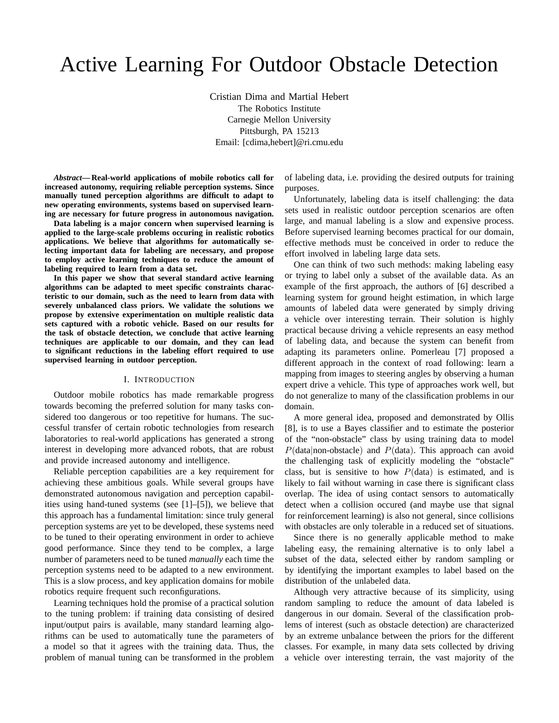# Active Learning For Outdoor Obstacle Detection

Cristian Dima and Martial Hebert The Robotics Institute Carnegie Mellon University Pittsburgh, PA 15213 Email: [cdima,hebert]@ri.cmu.edu

*Abstract***— Real-world applications of mobile robotics call for increased autonomy, requiring reliable perception systems. Since manually tuned perception algorithms are difficult to adapt to new operating environments, systems based on supervised learning are necessary for future progress in autonomous navigation.**

**Data labeling is a major concern when supervised learning is applied to the large-scale problems occuring in realistic robotics applications. We believe that algorithms for automatically selecting important data for labeling are necessary, and propose to employ active learning techniques to reduce the amount of labeling required to learn from a data set.**

**In this paper we show that several standard active learning algorithms can be adapted to meet specific constraints characteristic to our domain, such as the need to learn from data with severely unbalanced class priors. We validate the solutions we propose by extensive experimentation on multiple realistic data sets captured with a robotic vehicle. Based on our results for the task of obstacle detection, we conclude that active learning techniques are applicable to our domain, and they can lead to significant reductions in the labeling effort required to use supervised learning in outdoor perception.**

#### I. INTRODUCTION

Outdoor mobile robotics has made remarkable progress towards becoming the preferred solution for many tasks considered too dangerous or too repetitive for humans. The successful transfer of certain robotic technologies from research laboratories to real-world applications has generated a strong interest in developing more advanced robots, that are robust and provide increased autonomy and intelligence.

Reliable perception capabilities are a key requirement for achieving these ambitious goals. While several groups have demonstrated autonomous navigation and perception capabilities using hand-tuned systems (see [1]–[5]), we believe that this approach has a fundamental limitation: since truly general perception systems are yet to be developed, these systems need to be tuned to their operating environment in order to achieve good performance. Since they tend to be complex, a large number of parameters need to be tuned *manually* each time the perception systems need to be adapted to a new environment. This is a slow process, and key application domains for mobile robotics require frequent such reconfigurations.

Learning techniques hold the promise of a practical solution to the tuning problem: if training data consisting of desired input/output pairs is available, many standard learning algorithms can be used to automatically tune the parameters of a model so that it agrees with the training data. Thus, the problem of manual tuning can be transformed in the problem of labeling data, i.e. providing the desired outputs for training purposes.

Unfortunately, labeling data is itself challenging: the data sets used in realistic outdoor perception scenarios are often large, and manual labeling is a slow and expensive process. Before supervised learning becomes practical for our domain, effective methods must be conceived in order to reduce the effort involved in labeling large data sets.

One can think of two such methods: making labeling easy or trying to label only a subset of the available data. As an example of the first approach, the authors of [6] described a learning system for ground height estimation, in which large amounts of labeled data were generated by simply driving a vehicle over interesting terrain. Their solution is highly practical because driving a vehicle represents an easy method of labeling data, and because the system can benefit from adapting its parameters online. Pomerleau [7] proposed a different approach in the context of road following: learn a mapping from images to steering angles by observing a human expert drive a vehicle. This type of approaches work well, but do not generalize to many of the classification problems in our domain.

A more general idea, proposed and demonstrated by Ollis [8], is to use a Bayes classifier and to estimate the posterior of the "non-obstacle" class by using training data to model  $P(\text{data}| \text{non-obstacle})$  and  $P(\text{data})$ . This approach can avoid the challenging task of explicitly modeling the "obstacle" class, but is sensitive to how  $P(\text{data})$  is estimated, and is likely to fail without warning in case there is significant class overlap. The idea of using contact sensors to automatically detect when a collision occured (and maybe use that signal for reinforcement learning) is also not general, since collisions with obstacles are only tolerable in a reduced set of situations.

Since there is no generally applicable method to make labeling easy, the remaining alternative is to only label a subset of the data, selected either by random sampling or by identifying the important examples to label based on the distribution of the unlabeled data.

Although very attractive because of its simplicity, using random sampling to reduce the amount of data labeled is dangerous in our domain. Several of the classification problems of interest (such as obstacle detection) are characterized by an extreme unbalance between the priors for the different classes. For example, in many data sets collected by driving a vehicle over interesting terrain, the vast majority of the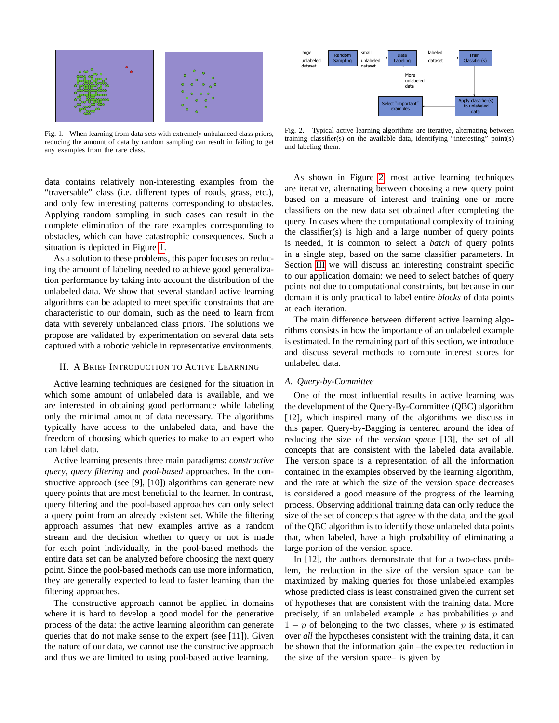

<span id="page-1-0"></span>Fig. 1. When learning from data sets with extremely unbalanced class priors, reducing the amount of data by random sampling can result in failing to get any examples from the rare class.

data contains relatively non-interesting examples from the "traversable" class (i.e. different types of roads, grass, etc.), and only few interesting patterns corresponding to obstacles. Applying random sampling in such cases can result in the complete elimination of the rare examples corresponding to obstacles, which can have catastrophic consequences. Such a situation is depicted in Figure [1.](#page-1-0)

As a solution to these problems, this paper focuses on reducing the amount of labeling needed to achieve good generalization performance by taking into account the distribution of the unlabeled data. We show that several standard active learning algorithms can be adapted to meet specific constraints that are characteristic to our domain, such as the need to learn from data with severely unbalanced class priors. The solutions we propose are validated by experimentation on several data sets captured with a robotic vehicle in representative environments.

## II. A BRIEF INTRODUCTION TO ACTIVE LEARNING

Active learning techniques are designed for the situation in which some amount of unlabeled data is available, and we are interested in obtaining good performance while labeling only the minimal amount of data necessary. The algorithms typically have access to the unlabeled data, and have the freedom of choosing which queries to make to an expert who can label data.

Active learning presents three main paradigms: *constructive query*, *query filtering* and *pool-based* approaches. In the constructive approach (see [9], [10]) algorithms can generate new query points that are most beneficial to the learner. In contrast, query filtering and the pool-based approaches can only select a query point from an already existent set. While the filtering approach assumes that new examples arrive as a random stream and the decision whether to query or not is made for each point individually, in the pool-based methods the entire data set can be analyzed before choosing the next query point. Since the pool-based methods can use more information, they are generally expected to lead to faster learning than the filtering approaches.

The constructive approach cannot be applied in domains where it is hard to develop a good model for the generative process of the data: the active learning algorithm can generate queries that do not make sense to the expert (see [11]). Given the nature of our data, we cannot use the constructive approach and thus we are limited to using pool-based active learning.



<span id="page-1-1"></span>Fig. 2. Typical active learning algorithms are iterative, alternating between training classifier(s) on the available data, identifying "interesting" point(s) and labeling them.

As shown in Figure [2,](#page-1-1) most active learning techniques are iterative, alternating between choosing a new query point based on a measure of interest and training one or more classifiers on the new data set obtained after completing the query. In cases where the computational complexity of training the classifier(s) is high and a large number of query points is needed, it is common to select a *batch* of query points in a single step, based on the same classifier parameters. In Section [III](#page-3-0) we will discuss an interesting constraint specific to our application domain: we need to select batches of query points not due to computational constraints, but because in our domain it is only practical to label entire *blocks* of data points at each iteration.

The main difference between different active learning algorithms consists in how the importance of an unlabeled example is estimated. In the remaining part of this section, we introduce and discuss several methods to compute interest scores for unlabeled data.

# *A. Query-by-Committee*

One of the most influential results in active learning was the development of the Query-By-Committee (QBC) algorithm [12], which inspired many of the algorithms we discuss in this paper. Query-by-Bagging is centered around the idea of reducing the size of the *version space* [13], the set of all concepts that are consistent with the labeled data available. The version space is a representation of all the information contained in the examples observed by the learning algorithm, and the rate at which the size of the version space decreases is considered a good measure of the progress of the learning process. Observing additional training data can only reduce the size of the set of concepts that agree with the data, and the goal of the QBC algorithm is to identify those unlabeled data points that, when labeled, have a high probability of eliminating a large portion of the version space.

In [12], the authors demonstrate that for a two-class problem, the reduction in the size of the version space can be maximized by making queries for those unlabeled examples whose predicted class is least constrained given the current set of hypotheses that are consistent with the training data. More precisely, if an unlabeled example x has probabilities  $p$  and  $1 - p$  of belonging to the two classes, where p is estimated over *all* the hypotheses consistent with the training data, it can be shown that the information gain –the expected reduction in the size of the version space– is given by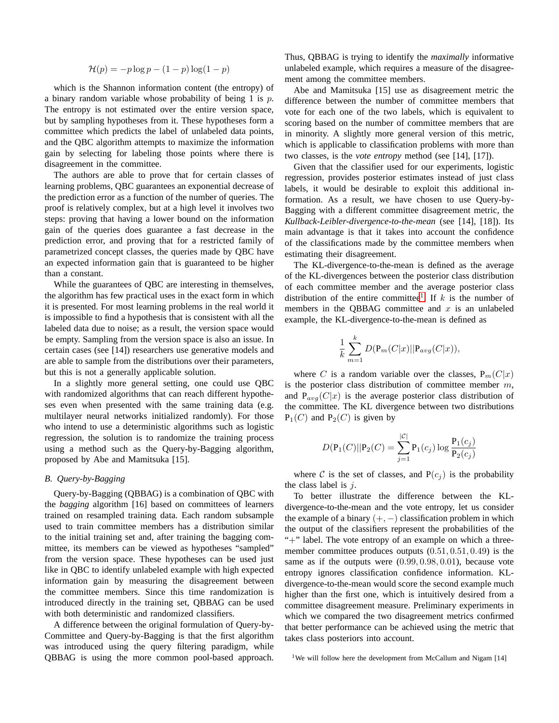$$
\mathcal{H}(p) = -p \log p - (1 - p) \log(1 - p)
$$

which is the Shannon information content (the entropy) of a binary random variable whose probability of being 1 is  $p$ . The entropy is not estimated over the entire version space, but by sampling hypotheses from it. These hypotheses form a committee which predicts the label of unlabeled data points, and the QBC algorithm attempts to maximize the information gain by selecting for labeling those points where there is disagreement in the committee.

The authors are able to prove that for certain classes of learning problems, QBC guarantees an exponential decrease of the prediction error as a function of the number of queries. The proof is relatively complex, but at a high level it involves two steps: proving that having a lower bound on the information gain of the queries does guarantee a fast decrease in the prediction error, and proving that for a restricted family of parametrized concept classes, the queries made by QBC have an expected information gain that is guaranteed to be higher than a constant.

While the guarantees of QBC are interesting in themselves, the algorithm has few practical uses in the exact form in which it is presented. For most learning problems in the real world it is impossible to find a hypothesis that is consistent with all the labeled data due to noise; as a result, the version space would be empty. Sampling from the version space is also an issue. In certain cases (see [14]) researchers use generative models and are able to sample from the distributions over their parameters, but this is not a generally applicable solution.

In a slightly more general setting, one could use QBC with randomized algorithms that can reach different hypotheses even when presented with the same training data (e.g. multilayer neural networks initialized randomly). For those who intend to use a deterministic algorithms such as logistic regression, the solution is to randomize the training process using a method such as the Query-by-Bagging algorithm, proposed by Abe and Mamitsuka [15].

#### *B. Query-by-Bagging*

Query-by-Bagging (QBBAG) is a combination of QBC with the *bagging* algorithm [16] based on committees of learners trained on resampled training data. Each random subsample used to train committee members has a distribution similar to the initial training set and, after training the bagging committee, its members can be viewed as hypotheses "sampled" from the version space. These hypotheses can be used just like in QBC to identify unlabeled example with high expected information gain by measuring the disagreement between the committee members. Since this time randomization is introduced directly in the training set, QBBAG can be used with both deterministic and randomized classifiers.

A difference between the original formulation of Query-by-Committee and Query-by-Bagging is that the first algorithm was introduced using the query filtering paradigm, while QBBAG is using the more common pool-based approach. Thus, QBBAG is trying to identify the *maximally* informative unlabeled example, which requires a measure of the disagreement among the committee members.

Abe and Mamitsuka [15] use as disagreement metric the difference between the number of committee members that vote for each one of the two labels, which is equivalent to scoring based on the number of committee members that are in minority. A slightly more general version of this metric, which is applicable to classification problems with more than two classes, is the *vote entropy* method (see [14], [17]).

Given that the classifier used for our experiments, logistic regression, provides posterior estimates instead of just class labels, it would be desirable to exploit this additional information. As a result, we have chosen to use Query-by-Bagging with a different committee disagreement metric, the *Kullback-Leibler-divergence-to-the-mean* (see [14], [18]). Its main advantage is that it takes into account the confidence of the classifications made by the committee members when estimating their disagreement.

The KL-divergence-to-the-mean is defined as the average of the KL-divergences between the posterior class distribution of each committee member and the average posterior class distribution of the entire committee<sup>[1](#page-2-0)</sup>. If  $k$  is the number of members in the OBBAG committee and  $x$  is an unlabeled example, the KL-divergence-to-the-mean is defined as

$$
\frac{1}{k}\sum_{m=1}^k D(\mathbf{P}_m(C|x)||\mathbf{P}_{avg}(C|x)),
$$

where C is a random variable over the classes,  $P_m(C|x)$ is the posterior class distribution of committee member  $m$ , and  $P_{avg}(C|x)$  is the average posterior class distribution of the committee. The KL divergence between two distributions  $P_1(C)$  and  $P_2(C)$  is given by

$$
D(\mathbf{P}_1(C)||\mathbf{P}_2(C) = \sum_{j=1}^{|C|} \mathbf{P}_1(c_j) \log \frac{\mathbf{P}_1(c_j)}{\mathbf{P}_2(c_j)}
$$

where C is the set of classes, and  $P(c_i)$  is the probability the class label is  $j$ .

To better illustrate the difference between the KLdivergence-to-the-mean and the vote entropy, let us consider the example of a binary  $(+, -)$  classification problem in which the output of the classifiers represent the probabilities of the "+" label. The vote entropy of an example on which a threemember committee produces outputs (0.51, 0.51, 0.49) is the same as if the outputs were (0.99, 0.98, 0.01), because vote entropy ignores classification confidence information. KLdivergence-to-the-mean would score the second example much higher than the first one, which is intuitively desired from a committee disagreement measure. Preliminary experiments in which we compared the two disagreement metrics confirmed that better performance can be achieved using the metric that takes class posteriors into account.

<span id="page-2-0"></span><sup>1</sup>We will follow here the development from McCallum and Nigam [14]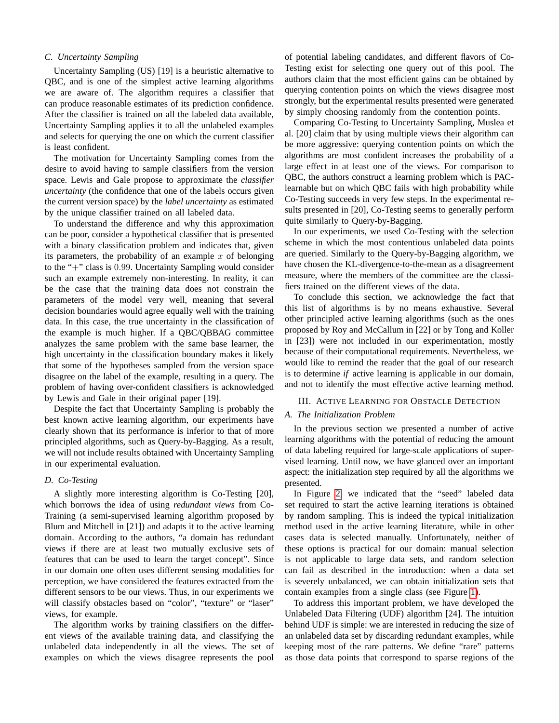# *C. Uncertainty Sampling*

Uncertainty Sampling (US) [19] is a heuristic alternative to QBC, and is one of the simplest active learning algorithms we are aware of. The algorithm requires a classifier that can produce reasonable estimates of its prediction confidence. After the classifier is trained on all the labeled data available, Uncertainty Sampling applies it to all the unlabeled examples and selects for querying the one on which the current classifier is least confident.

The motivation for Uncertainty Sampling comes from the desire to avoid having to sample classifiers from the version space. Lewis and Gale propose to approximate the *classifier uncertainty* (the confidence that one of the labels occurs given the current version space) by the *label uncertainty* as estimated by the unique classifier trained on all labeled data.

To understand the difference and why this approximation can be poor, consider a hypothetical classifier that is presented with a binary classification problem and indicates that, given its parameters, the probability of an example  $x$  of belonging to the "+" class is 0.99. Uncertainty Sampling would consider such an example extremely non-interesting. In reality, it can be the case that the training data does not constrain the parameters of the model very well, meaning that several decision boundaries would agree equally well with the training data. In this case, the true uncertainty in the classification of the example is much higher. If a QBC/QBBAG committee analyzes the same problem with the same base learner, the high uncertainty in the classification boundary makes it likely that some of the hypotheses sampled from the version space disagree on the label of the example, resulting in a query. The problem of having over-confident classifiers is acknowledged by Lewis and Gale in their original paper [19].

Despite the fact that Uncertainty Sampling is probably the best known active learning algorithm, our experiments have clearly shown that its performance is inferior to that of more principled algorithms, such as Query-by-Bagging. As a result, we will not include results obtained with Uncertainty Sampling in our experimental evaluation.

#### *D. Co-Testing*

A slightly more interesting algorithm is Co-Testing [20], which borrows the idea of using *redundant views* from Co-Training (a semi-supervised learning algorithm proposed by Blum and Mitchell in [21]) and adapts it to the active learning domain. According to the authors, "a domain has redundant views if there are at least two mutually exclusive sets of features that can be used to learn the target concept". Since in our domain one often uses different sensing modalities for perception, we have considered the features extracted from the different sensors to be our views. Thus, in our experiments we will classify obstacles based on "color", "texture" or "laser" views, for example.

The algorithm works by training classifiers on the different views of the available training data, and classifying the unlabeled data independently in all the views. The set of examples on which the views disagree represents the pool

of potential labeling candidates, and different flavors of Co-Testing exist for selecting one query out of this pool. The authors claim that the most efficient gains can be obtained by querying contention points on which the views disagree most strongly, but the experimental results presented were generated by simply choosing randomly from the contention points.

Comparing Co-Testing to Uncertainty Sampling, Muslea et al. [20] claim that by using multiple views their algorithm can be more aggressive: querying contention points on which the algorithms are most confident increases the probability of a large effect in at least one of the views. For comparison to QBC, the authors construct a learning problem which is PAClearnable but on which QBC fails with high probability while Co-Testing succeeds in very few steps. In the experimental results presented in [20], Co-Testing seems to generally perform quite similarly to Query-by-Bagging.

In our experiments, we used Co-Testing with the selection scheme in which the most contentious unlabeled data points are queried. Similarly to the Query-by-Bagging algorithm, we have chosen the KL-divergence-to-the-mean as a disagreement measure, where the members of the committee are the classifiers trained on the different views of the data.

To conclude this section, we acknowledge the fact that this list of algorithms is by no means exhaustive. Several other principled active learning algorithms (such as the ones proposed by Roy and McCallum in [22] or by Tong and Koller in [23]) were not included in our experimentation, mostly because of their computational requirements. Nevertheless, we would like to remind the reader that the goal of our research is to determine *if* active learning is applicable in our domain, and not to identify the most effective active learning method.

# <span id="page-3-0"></span>III. ACTIVE LEARNING FOR OBSTACLE DETECTION

#### *A. The Initialization Problem*

In the previous section we presented a number of active learning algorithms with the potential of reducing the amount of data labeling required for large-scale applications of supervised learning. Until now, we have glanced over an important aspect: the initialization step required by all the algorithms we presented.

In Figure [2,](#page-1-1) we indicated that the "seed" labeled data set required to start the active learning iterations is obtained by random sampling. This is indeed the typical initialization method used in the active learning literature, while in other cases data is selected manually. Unfortunately, neither of these options is practical for our domain: manual selection is not applicable to large data sets, and random selection can fail as described in the introduction: when a data set is severely unbalanced, we can obtain initialization sets that contain examples from a single class (see Figure [1\)](#page-1-0).

To address this important problem, we have developed the Unlabeled Data Filtering (UDF) algorithm [24]. The intuition behind UDF is simple: we are interested in reducing the size of an unlabeled data set by discarding redundant examples, while keeping most of the rare patterns. We define "rare" patterns as those data points that correspond to sparse regions of the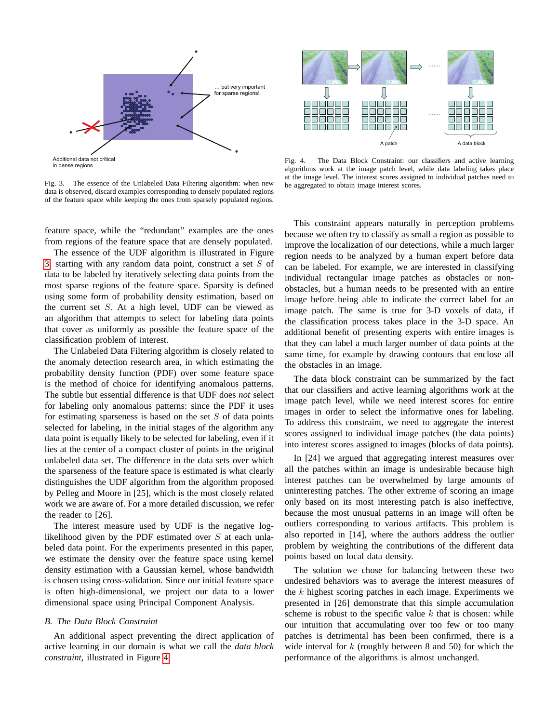

<span id="page-4-0"></span>Fig. 3. The essence of the Unlabeled Data Filtering algorithm: when new data is observed, discard examples corresponding to densely populated regions of the feature space while keeping the ones from sparsely populated regions.

feature space, while the "redundant" examples are the ones from regions of the feature space that are densely populated.

The essence of the UDF algorithm is illustrated in Figure [3:](#page-4-0) starting with any random data point, construct a set  $S$  of data to be labeled by iteratively selecting data points from the most sparse regions of the feature space. Sparsity is defined using some form of probability density estimation, based on the current set S. At a high level, UDF can be viewed as an algorithm that attempts to select for labeling data points that cover as uniformly as possible the feature space of the classification problem of interest.

The Unlabeled Data Filtering algorithm is closely related to the anomaly detection research area, in which estimating the probability density function (PDF) over some feature space is the method of choice for identifying anomalous patterns. The subtle but essential difference is that UDF does *not* select for labeling only anomalous patterns: since the PDF it uses for estimating sparseness is based on the set  $S$  of data points selected for labeling, in the initial stages of the algorithm any data point is equally likely to be selected for labeling, even if it lies at the center of a compact cluster of points in the original unlabeled data set. The difference in the data sets over which the sparseness of the feature space is estimated is what clearly distinguishes the UDF algorithm from the algorithm proposed by Pelleg and Moore in [25], which is the most closely related work we are aware of. For a more detailed discussion, we refer the reader to [26].

The interest measure used by UDF is the negative loglikelihood given by the PDF estimated over  $S$  at each unlabeled data point. For the experiments presented in this paper, we estimate the density over the feature space using kernel density estimation with a Gaussian kernel, whose bandwidth is chosen using cross-validation. Since our initial feature space is often high-dimensional, we project our data to a lower dimensional space using Principal Component Analysis.

#### *B. The Data Block Constraint*

An additional aspect preventing the direct application of active learning in our domain is what we call the *data block constraint*, illustrated in Figure [4.](#page-4-1)



<span id="page-4-1"></span>Fig. 4. The Data Block Constraint: our classifiers and active learning algorithms work at the image patch level, while data labeling takes place at the image level. The interest scores assigned to individual patches need to be aggregated to obtain image interest scores.

This constraint appears naturally in perception problems because we often try to classify as small a region as possible to improve the localization of our detections, while a much larger region needs to be analyzed by a human expert before data can be labeled. For example, we are interested in classifying individual rectangular image patches as obstacles or nonobstacles, but a human needs to be presented with an entire image before being able to indicate the correct label for an image patch. The same is true for 3-D voxels of data, if the classification process takes place in the 3-D space. An additional benefit of presenting experts with entire images is that they can label a much larger number of data points at the same time, for example by drawing contours that enclose all the obstacles in an image.

The data block constraint can be summarized by the fact that our classifiers and active learning algorithms work at the image patch level, while we need interest scores for entire images in order to select the informative ones for labeling. To address this constraint, we need to aggregate the interest scores assigned to individual image patches (the data points) into interest scores assigned to images (blocks of data points).

In [24] we argued that aggregating interest measures over all the patches within an image is undesirable because high interest patches can be overwhelmed by large amounts of uninteresting patches. The other extreme of scoring an image only based on its most interesting patch is also ineffective, because the most unusual patterns in an image will often be outliers corresponding to various artifacts. This problem is also reported in [14], where the authors address the outlier problem by weighting the contributions of the different data points based on local data density.

The solution we chose for balancing between these two undesired behaviors was to average the interest measures of the  $k$  highest scoring patches in each image. Experiments we presented in [26] demonstrate that this simple accumulation scheme is robust to the specific value  $k$  that is chosen: while our intuition that accumulating over too few or too many patches is detrimental has been been confirmed, there is a wide interval for  $k$  (roughly between 8 and 50) for which the performance of the algorithms is almost unchanged.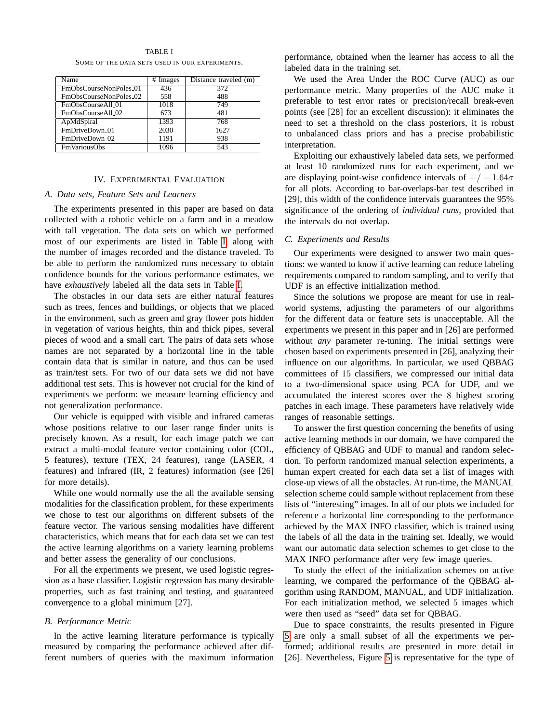<span id="page-5-0"></span>

| Name                       | # Images | Distance traveled (m) |
|----------------------------|----------|-----------------------|
| FmObsCourseNonPoles_01     | 436      | 372                   |
| FmObsCourseNonPoles_02     | 558      | 488                   |
| FmObsCourseAll_01          | 1018     | 749                   |
| FmObsCourseAll_02          | 673      | 481                   |
| ApMdSpiral                 | 1393     | 768                   |
| FmDriveDown <sub>-01</sub> | 2030     | 1627                  |
| FmDriveDown <sub>-02</sub> | 1191     | 938                   |
| <b>FmVariousObs</b>        | 1096     | 543                   |

TABLE I SOME OF THE DATA SETS USED IN OUR EXPERIMENTS.

# IV. EXPERIMENTAL EVALUATION

# *A. Data sets, Feature Sets and Learners*

The experiments presented in this paper are based on data collected with a robotic vehicle on a farm and in a meadow with tall vegetation. The data sets on which we performed most of our experiments are listed in Table [I,](#page-5-0) along with the number of images recorded and the distance traveled. To be able to perform the randomized runs necessary to obtain confidence bounds for the various performance estimates, we have *exhaustively* labeled all the data sets in Table [I.](#page-5-0)

The obstacles in our data sets are either natural features such as trees, fences and buildings, or objects that we placed in the environment, such as green and gray flower pots hidden in vegetation of various heights, thin and thick pipes, several pieces of wood and a small cart. The pairs of data sets whose names are not separated by a horizontal line in the table contain data that is similar in nature, and thus can be used as train/test sets. For two of our data sets we did not have additional test sets. This is however not crucial for the kind of experiments we perform: we measure learning efficiency and not generalization performance.

Our vehicle is equipped with visible and infrared cameras whose positions relative to our laser range finder units is precisely known. As a result, for each image patch we can extract a multi-modal feature vector containing color (COL, 5 features), texture (TEX, 24 features), range (LASER, 4 features) and infrared (IR, 2 features) information (see [26] for more details).

While one would normally use the all the available sensing modalities for the classification problem, for these experiments we chose to test our algorithms on different subsets of the feature vector. The various sensing modalities have different characteristics, which means that for each data set we can test the active learning algorithms on a variety learning problems and better assess the generality of our conclusions.

For all the experiments we present, we used logistic regression as a base classifier. Logistic regression has many desirable properties, such as fast training and testing, and guaranteed convergence to a global minimum [27].

#### *B. Performance Metric*

In the active learning literature performance is typically measured by comparing the performance achieved after different numbers of queries with the maximum information performance, obtained when the learner has access to all the labeled data in the training set.

We used the Area Under the ROC Curve (AUC) as our performance metric. Many properties of the AUC make it preferable to test error rates or precision/recall break-even points (see [28] for an excellent discussion): it eliminates the need to set a threshold on the class posteriors, it is robust to unbalanced class priors and has a precise probabilistic interpretation.

Exploiting our exhaustively labeled data sets, we performed at least 10 randomized runs for each experiment, and we are displaying point-wise confidence intervals of  $+/-1.64\sigma$ for all plots. According to bar-overlaps-bar test described in [29], this width of the confidence intervals guarantees the 95% significance of the ordering of *individual runs*, provided that the intervals do not overlap.

#### *C. Experiments and Results*

Our experiments were designed to answer two main questions: we wanted to know if active learning can reduce labeling requirements compared to random sampling, and to verify that UDF is an effective initialization method.

Since the solutions we propose are meant for use in realworld systems, adjusting the parameters of our algorithms for the different data or feature sets is unacceptable. All the experiments we present in this paper and in [26] are performed without *any* parameter re-tuning. The initial settings were chosen based on experiments presented in [26], analyzing their influence on our algorithms. In particular, we used QBBAG committees of 15 classifiers, we compressed our initial data to a two-dimensional space using PCA for UDF, and we accumulated the interest scores over the 8 highest scoring patches in each image. These parameters have relatively wide ranges of reasonable settings.

To answer the first question concerning the benefits of using active learning methods in our domain, we have compared the efficiency of QBBAG and UDF to manual and random selection. To perform randomized manual selection experiments, a human expert created for each data set a list of images with close-up views of all the obstacles. At run-time, the MANUAL selection scheme could sample without replacement from these lists of "interesting" images. In all of our plots we included for reference a horizontal line corresponding to the performance achieved by the MAX INFO classifier, which is trained using the labels of all the data in the training set. Ideally, we would want our automatic data selection schemes to get close to the MAX INFO performance after very few image queries.

To study the effect of the initialization schemes on active learning, we compared the performance of the QBBAG algorithm using RANDOM, MANUAL, and UDF initialization. For each initialization method, we selected 5 images which were then used as "seed" data set for QBBAG.

Due to space constraints, the results presented in Figure [5](#page-6-0) are only a small subset of all the experiments we performed; additional results are presented in more detail in [26]. Nevertheless, Figure [5](#page-6-0) is representative for the type of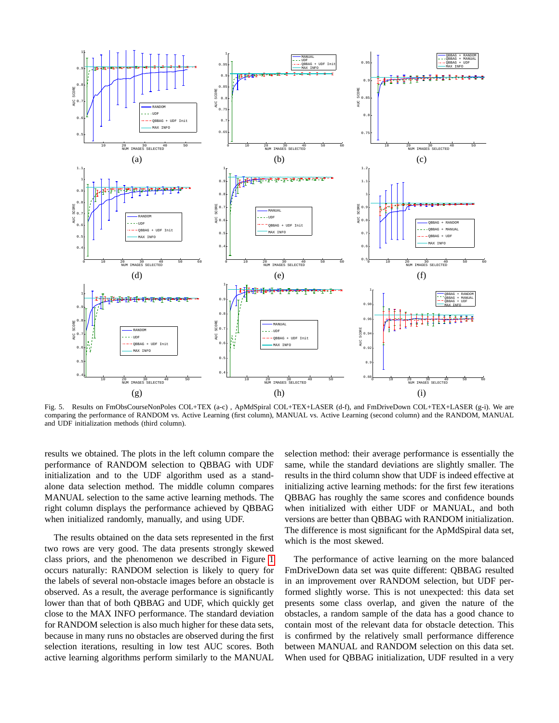

<span id="page-6-0"></span>Fig. 5. Results on FmObsCourseNonPoles COL+TEX (a-c), ApMdSpiral COL+TEX+LASER (d-f), and FmDriveDown COL+TEX+LASER (g-i). We are comparing the performance of RANDOM vs. Active Learning (first column), MANUAL vs. Active Learning (second column) and the RANDOM, MANUAL and UDF initialization methods (third column).

results we obtained. The plots in the left column compare the performance of RANDOM selection to QBBAG with UDF initialization and to the UDF algorithm used as a standalone data selection method. The middle column compares MANUAL selection to the same active learning methods. The right column displays the performance achieved by QBBAG when initialized randomly, manually, and using UDF.

The results obtained on the data sets represented in the first two rows are very good. The data presents strongly skewed class priors, and the phenomenon we described in Figure [1](#page-1-0) occurs naturally: RANDOM selection is likely to query for the labels of several non-obstacle images before an obstacle is observed. As a result, the average performance is significantly lower than that of both QBBAG and UDF, which quickly get close to the MAX INFO performance. The standard deviation for RANDOM selection is also much higher for these data sets, because in many runs no obstacles are observed during the first selection iterations, resulting in low test AUC scores. Both active learning algorithms perform similarly to the MANUAL selection method: their average performance is essentially the same, while the standard deviations are slightly smaller. The results in the third column show that UDF is indeed effective at initializing active learning methods: for the first few iterations QBBAG has roughly the same scores and confidence bounds when initialized with either UDF or MANUAL, and both versions are better than QBBAG with RANDOM initialization. The difference is most significant for the ApMdSpiral data set, which is the most skewed.

The performance of active learning on the more balanced FmDriveDown data set was quite different: QBBAG resulted in an improvement over RANDOM selection, but UDF performed slightly worse. This is not unexpected: this data set presents some class overlap, and given the nature of the obstacles, a random sample of the data has a good chance to contain most of the relevant data for obstacle detection. This is confirmed by the relatively small performance difference between MANUAL and RANDOM selection on this data set. When used for QBBAG initialization, UDF resulted in a very